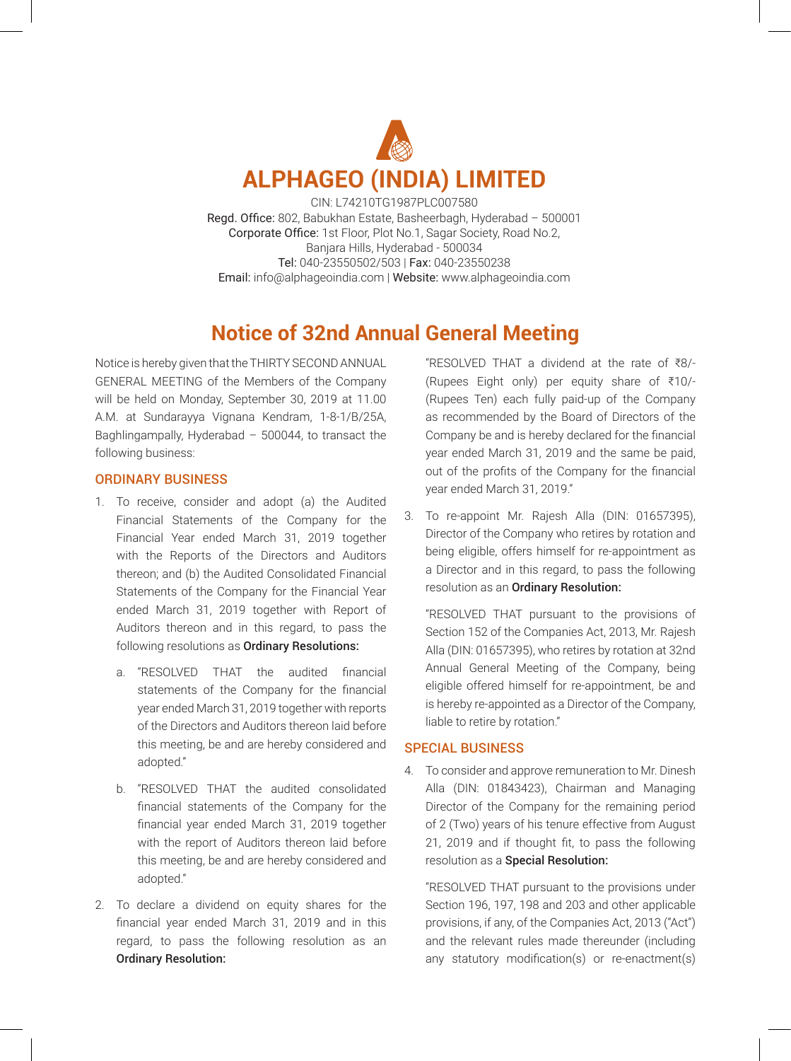

CIN: L74210TG1987PLC007580 Regd. Office: 802, Babukhan Estate, Basheerbagh, Hyderabad - 500001 Corporate Office: 1st Floor, Plot No.1, Sagar Society, Road No.2, Banjara Hills, Hyderabad - 500034 Tel: 040-23550502/503 | Fax: 040-23550238 Email: info@alphageoindia.com | Website: www.alphageoindia.com

## **Notice of 32nd Annual General Meeting**

Notice is hereby given that the THIRTY SECOND ANNUAL GENERAL MEETING of the Members of the Company will be held on Monday, September 30, 2019 at 11.00 A.M. at Sundarayya Vignana Kendram, 1-8-1/B/25A, Baghlingampally, Hyderabad  $-500044$ , to transact the following business:

### ORDINARY BUSINESS

- 1. To receive, consider and adopt (a) the Audited Financial Statements of the Company for the Financial Year ended March 31, 2019 together with the Reports of the Directors and Auditors thereon; and (b) the Audited Consolidated Financial Statements of the Company for the Financial Year ended March 31, 2019 together with Report of Auditors thereon and in this regard, to pass the following resolutions as Ordinary Resolutions:
	- a. "RESOLVED THAT the audited financial statements of the Company for the financial year ended March 31, 2019 together with reports of the Directors and Auditors thereon laid before this meeting, be and are hereby considered and adopted."
	- b. "RESOLVED THAT the audited consolidated financial statements of the Company for the financial year ended March 31, 2019 together with the report of Auditors thereon laid before this meeting, be and are hereby considered and adopted."
- 2. To declare a dividend on equity shares for the financial year ended March 31, 2019 and in this regard, to pass the following resolution as an Ordinary Resolution:

"RESOLVED THAT a dividend at the rate of  $\overline{88}$ /-(Rupees Eight only) per equity share of  $\overline{510/-}$ (Rupees Ten) each fully paid-up of the Company as recommended by the Board of Directors of the Company be and is hereby declared for the financial year ended March 31, 2019 and the same be paid, out of the profits of the Company for the financial year ended March 31, 2019."

3. To re-appoint Mr. Rajesh Alla (DIN: 01657395), Director of the Company who retires by rotation and being eligible, offers himself for re-appointment as a Director and in this regard, to pass the following resolution as an Ordinary Resolution:

"RESOLVED THAT pursuant to the provisions of Section 152 of the Companies Act, 2013, Mr. Rajesh Alla (DIN: 01657395), who retires by rotation at 32nd Annual General Meeting of the Company, being eligible offered himself for re-appointment, be and is hereby re-appointed as a Director of the Company, liable to retire by rotation."

### SPECIAL BUSINESS

4. To consider and approve remuneration to Mr. Dinesh Alla (DIN: 01843423), Chairman and Managing Director of the Company for the remaining period of 2 (Two) years of his tenure effective from August 21, 2019 and if thought fit, to pass the following resolution as a Special Resolution:

"RESOLVED THAT pursuant to the provisions under Section 196, 197, 198 and 203 and other applicable provisions, if any, of the Companies Act, 2013 ("Act") and the relevant rules made thereunder (including any statutory modification(s) or re-enactment(s)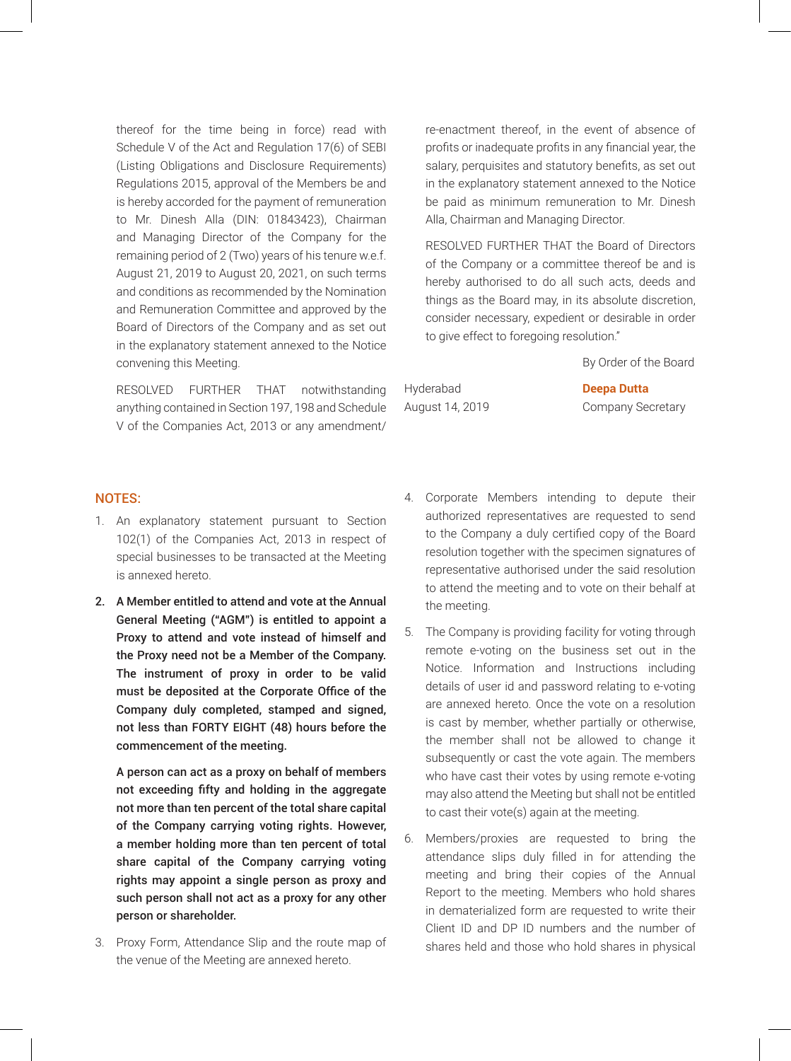thereof for the time being in force) read with Schedule V of the Act and Regulation 17(6) of SEBI (Listing Obligations and Disclosure Requirements) Regulations 2015, approval of the Members be and is hereby accorded for the payment of remuneration to Mr. Dinesh Alla (DIN: 01843423), Chairman and Managing Director of the Company for the remaining period of 2 (Two) years of his tenure w.e.f. August 21, 2019 to August 20, 2021, on such terms and conditions as recommended by the Nomination and Remuneration Committee and approved by the Board of Directors of the Company and as set out in the explanatory statement annexed to the Notice convening this Meeting.

RESOLVED FURTHER THAT notwithstanding anything contained in Section 197, 198 and Schedule V of the Companies Act, 2013 or any amendment/ re-enactment thereof, in the event of absence of profits or inadequate profits in any financial year, the salary, perquisites and statutory benefits, as set out in the explanatory statement annexed to the Notice be paid as minimum remuneration to Mr. Dinesh Alla, Chairman and Managing Director.

RESOLVED FURTHER THAT the Board of Directors of the Company or a committee thereof be and is hereby authorised to do all such acts, deeds and things as the Board may, in its absolute discretion, consider necessary, expedient or desirable in order to give effect to foregoing resolution."

By Order of the Board

Hyderabad **Deepa Dutta**

August 14, 2019 Company Secretary

### NOTES:

- 1. An explanatory statement pursuant to Section 102(1) of the Companies Act, 2013 in respect of special businesses to be transacted at the Meeting is annexed hereto.
- 2. A Member entitled to attend and vote at the Annual General Meeting ("AGM") is entitled to appoint a Proxy to attend and vote instead of himself and the Proxy need not be a Member of the Company. The instrument of proxy in order to be valid must be deposited at the Corporate Office of the Company duly completed, stamped and signed, not less than FORTY EIGHT (48) hours before the commencement of the meeting.

A person can act as a proxy on behalf of members not exceeding fifty and holding in the aggregate not more than ten percent of the total share capital of the Company carrying voting rights. However, a member holding more than ten percent of total share capital of the Company carrying voting rights may appoint a single person as proxy and such person shall not act as a proxy for any other person or shareholder.

3. Proxy Form, Attendance Slip and the route map of the venue of the Meeting are annexed hereto.

- 4. Corporate Members intending to depute their authorized representatives are requested to send to the Company a duly certified copy of the Board resolution together with the specimen signatures of representative authorised under the said resolution to attend the meeting and to vote on their behalf at the meeting.
- 5. The Company is providing facility for voting through remote e-voting on the business set out in the Notice. Information and Instructions including details of user id and password relating to e-voting are annexed hereto. Once the vote on a resolution is cast by member, whether partially or otherwise, the member shall not be allowed to change it subsequently or cast the vote again. The members who have cast their votes by using remote e-voting may also attend the Meeting but shall not be entitled to cast their vote(s) again at the meeting.
- 6. Members/proxies are requested to bring the attendance slips duly filled in for attending the meeting and bring their copies of the Annual Report to the meeting. Members who hold shares in dematerialized form are requested to write their Client ID and DP ID numbers and the number of shares held and those who hold shares in physical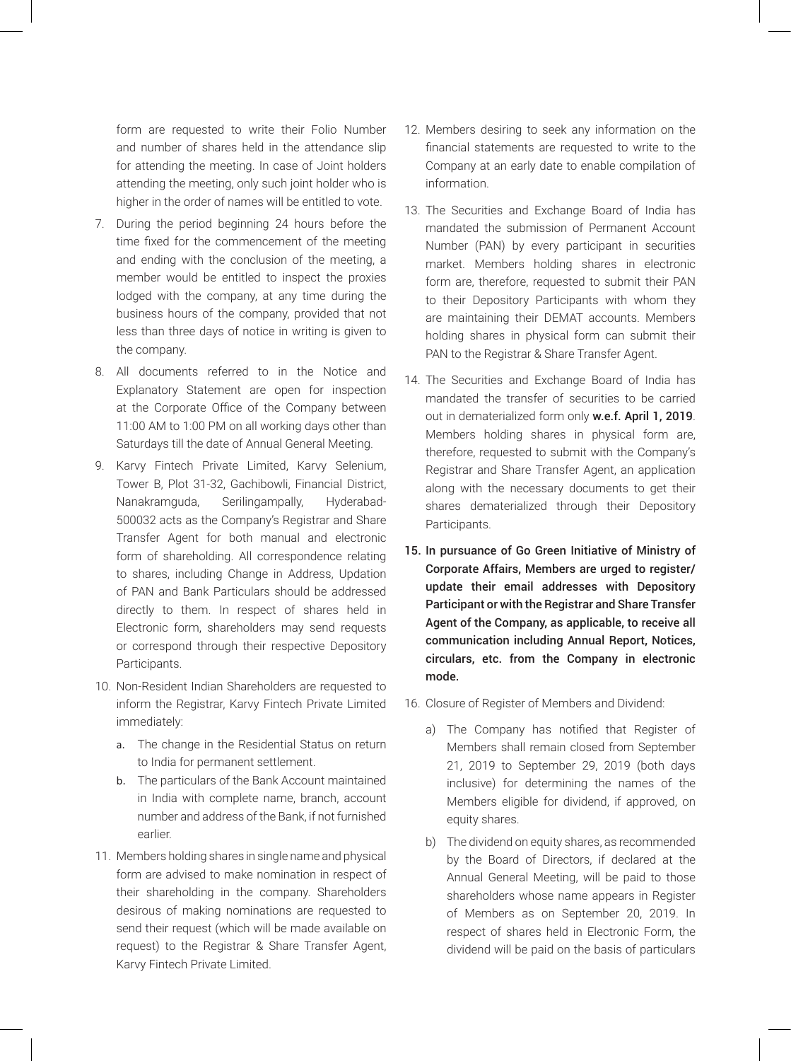form are requested to write their Folio Number and number of shares held in the attendance slip for attending the meeting. In case of Joint holders attending the meeting, only such joint holder who is higher in the order of names will be entitled to vote.

- 7. During the period beginning 24 hours before the time fixed for the commencement of the meeting and ending with the conclusion of the meeting, a member would be entitled to inspect the proxies lodged with the company, at any time during the business hours of the company, provided that not less than three days of notice in writing is given to the company.
- 8. All documents referred to in the Notice and Explanatory Statement are open for inspection at the Corporate Office of the Company between 11:00 AM to 1:00 PM on all working days other than Saturdays till the date of Annual General Meeting.
- 9. Karvy Fintech Private Limited, Karvy Selenium, Tower B, Plot 31-32, Gachibowli, Financial District, Nanakramguda, Serilingampally, Hyderabad-500032 acts as the Company's Registrar and Share Transfer Agent for both manual and electronic form of shareholding. All correspondence relating to shares, including Change in Address, Updation of PAN and Bank Particulars should be addressed directly to them. In respect of shares held in Electronic form, shareholders may send requests or correspond through their respective Depository Participants.
- 10. Non-Resident Indian Shareholders are requested to inform the Registrar, Karvy Fintech Private Limited immediately:
	- a. The change in the Residential Status on return to India for permanent settlement.
	- b. The particulars of the Bank Account maintained in India with complete name, branch, account number and address of the Bank, if not furnished earlier.
- 11. Members holding shares in single name and physical form are advised to make nomination in respect of their shareholding in the company. Shareholders desirous of making nominations are requested to send their request (which will be made available on request) to the Registrar & Share Transfer Agent, Karvy Fintech Private Limited.
- 12. Members desiring to seek any information on the financial statements are requested to write to the Company at an early date to enable compilation of information.
- 13. The Securities and Exchange Board of India has mandated the submission of Permanent Account Number (PAN) by every participant in securities market. Members holding shares in electronic form are, therefore, requested to submit their PAN to their Depository Participants with whom they are maintaining their DEMAT accounts. Members holding shares in physical form can submit their PAN to the Registrar & Share Transfer Agent.
- 14. The Securities and Exchange Board of India has mandated the transfer of securities to be carried out in dematerialized form only w.e.f. April 1, 2019. Members holding shares in physical form are, therefore, requested to submit with the Company's Registrar and Share Transfer Agent, an application along with the necessary documents to get their shares dematerialized through their Depository Participants.
- 15. In pursuance of Go Green Initiative of Ministry of Corporate Affairs, Members are urged to register/ update their email addresses with Depository Participant or with the Registrar and Share Transfer Agent of the Company, as applicable, to receive all communication including Annual Report, Notices, circulars, etc. from the Company in electronic mode.
- 16. Closure of Register of Members and Dividend:
	- a) The Company has notified that Register of Members shall remain closed from September 21, 2019 to September 29, 2019 (both days inclusive) for determining the names of the Members eligible for dividend, if approved, on equity shares.
	- b) The dividend on equity shares, as recommended by the Board of Directors, if declared at the Annual General Meeting, will be paid to those shareholders whose name appears in Register of Members as on September 20, 2019. In respect of shares held in Electronic Form, the dividend will be paid on the basis of particulars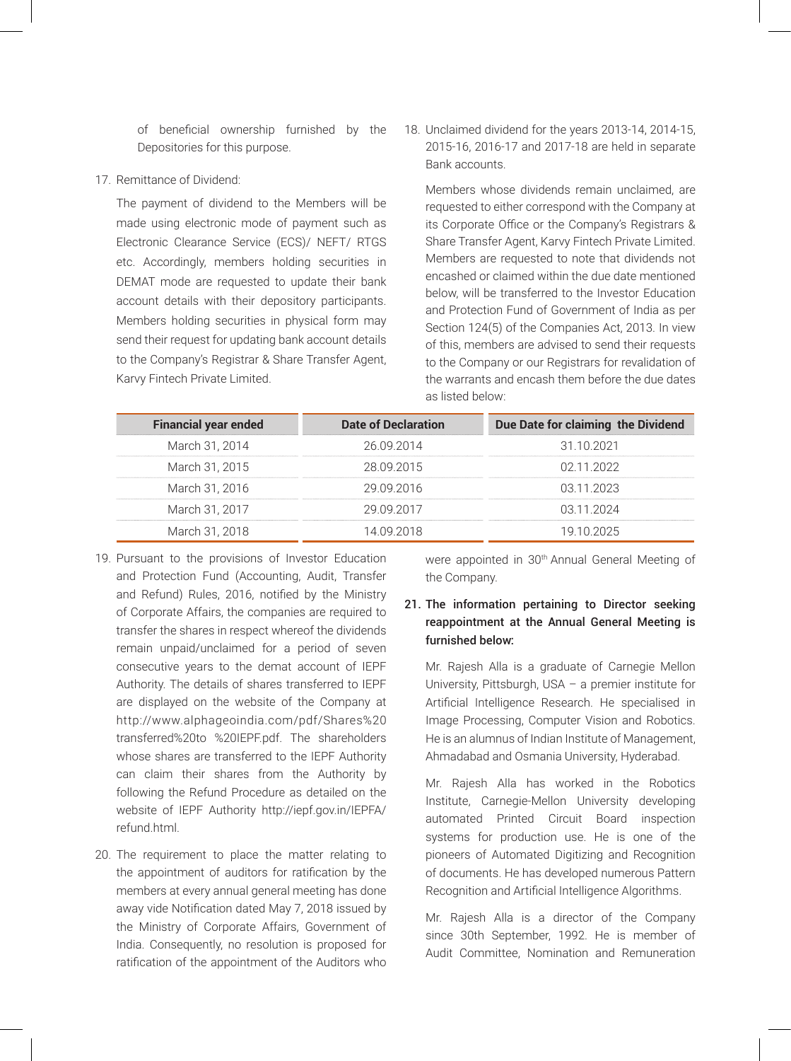of beneficial ownership furnished by the Depositories for this purpose.

### 17. Remittance of Dividend:

The payment of dividend to the Members will be made using electronic mode of payment such as Electronic Clearance Service (ECS)/ NEFT/ RTGS etc. Accordingly, members holding securities in DEMAT mode are requested to update their bank account details with their depository participants. Members holding securities in physical form may send their request for updating bank account details to the Company's Registrar & Share Transfer Agent, Karvy Fintech Private Limited.

18. Unclaimed dividend for the years 2013-14, 2014-15, 2015-16, 2016-17 and 2017-18 are held in separate Bank accounts.

Members whose dividends remain unclaimed, are requested to either correspond with the Company at its Corporate Office or the Company's Registrars & Share Transfer Agent, Karvy Fintech Private Limited. Members are requested to note that dividends not encashed or claimed within the due date mentioned below, will be transferred to the Investor Education and Protection Fund of Government of India as per Section 124(5) of the Companies Act, 2013. In view of this, members are advised to send their requests to the Company or our Registrars for revalidation of the warrants and encash them before the due dates as listed below:

| <b>Financial year ended</b> | Date of Declaration | Due Date for claiming the Dividend |
|-----------------------------|---------------------|------------------------------------|
|                             |                     |                                    |
| March 31, 2014              | 26.09.2014          | 31 10 2021                         |
|                             |                     |                                    |
| March 31, 2015              | 28 09 2015          | በ2 11 2022                         |
|                             |                     |                                    |
| March 31, 2016              | 29 09 2016          | 03 11 2023                         |
|                             |                     |                                    |
| March 31, 2017              | 29 09 2017          | 03 11 2024                         |
|                             |                     |                                    |
| March 31, 2018              | 14 NG 2018          | 19 10 2025                         |

- 19. Pursuant to the provisions of Investor Education and Protection Fund (Accounting, Audit, Transfer and Refund) Rules, 2016, notified by the Ministry of Corporate Affairs, the companies are required to transfer the shares in respect whereof the dividends remain unpaid/unclaimed for a period of seven consecutive years to the demat account of IEPF Authority. The details of shares transferred to IEPF are displayed on the website of the Company at http://www.alphageoindia.com/pdf/Shares%20 transferred%20to %20IEPF.pdf. The shareholders whose shares are transferred to the IEPF Authority can claim their shares from the Authority by following the Refund Procedure as detailed on the website of IEPF Authority http://iepf.gov.in/IEPFA/ refund.html.
- 20. The requirement to place the matter relating to the appointment of auditors for ratification by the members at every annual general meeting has done away vide Notification dated May 7, 2018 issued by the Ministry of Corporate Affairs, Government of India. Consequently, no resolution is proposed for ratification of the appointment of the Auditors who

were appointed in 30<sup>th</sup> Annual General Meeting of the Company.

### 21. The information pertaining to Director seeking reappointment at the Annual General Meeting is furnished below:

Mr. Rajesh Alla is a graduate of Carnegie Mellon University, Pittsburgh, USA – a premier institute for Artificial Intelligence Research. He specialised in Image Processing, Computer Vision and Robotics. He is an alumnus of Indian Institute of Management, Ahmadabad and Osmania University, Hyderabad.

Mr. Rajesh Alla has worked in the Robotics Institute, Carnegie-Mellon University developing automated Printed Circuit Board inspection systems for production use. He is one of the pioneers of Automated Digitizing and Recognition of documents. He has developed numerous Pattern Recognition and Artificial Intelligence Algorithms.

Mr. Rajesh Alla is a director of the Company since 30th September, 1992. He is member of Audit Committee, Nomination and Remuneration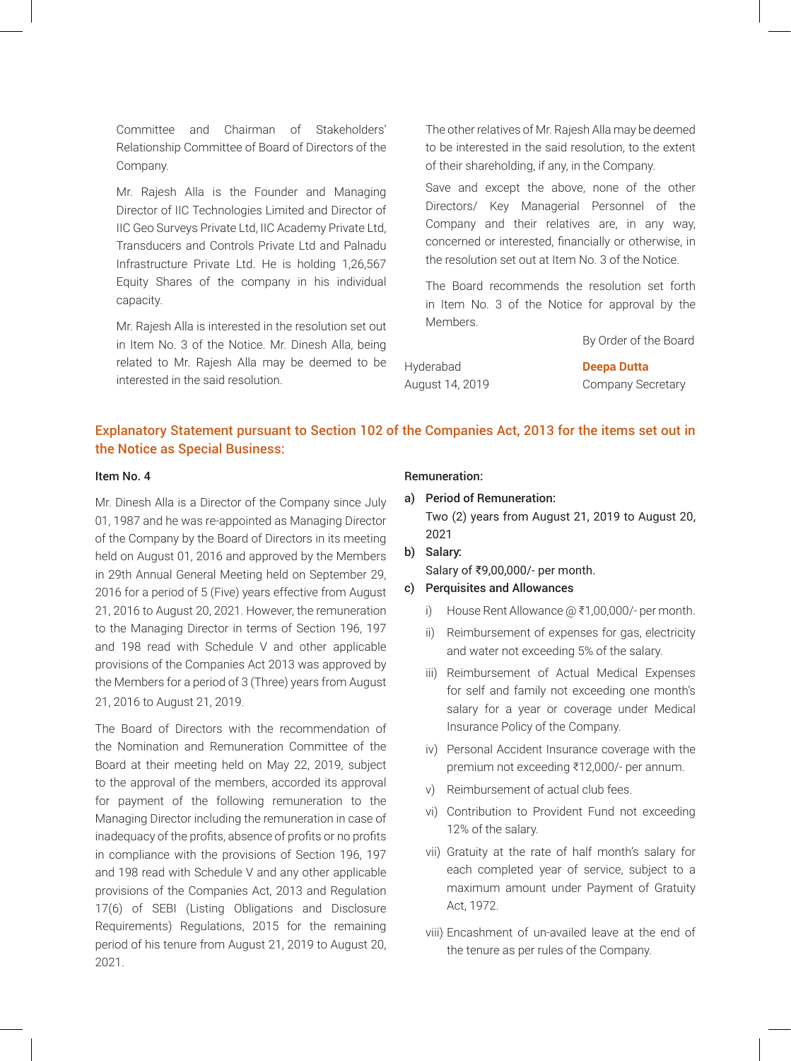Committee and Chairman of Stakeholders' Relationship Committee of Board of Directors of the Company.

Mr. Rajesh Alla is the Founder and Managing Director of IIC Technologies Limited and Director of IIC Geo Surveys Private Ltd, IIC Academy Private Ltd, Transducers and Controls Private Ltd and Palnadu Infrastructure Private Ltd. He is holding 1,26,567 Equity Shares of the company in his individual capacity.

Mr. Rajesh Alla is interested in the resolution set out in Item No. 3 of the Notice. Mr. Dinesh Alla, being related to Mr. Rajesh Alla may be deemed to be interested in the said resolution.

The other relatives of Mr. Rajesh Alla may be deemed to be interested in the said resolution, to the extent of their shareholding, if any, in the Company.

Save and except the above, none of the other Directors/ Key Managerial Personnel of the Company and their relatives are, in any way, concerned or interested, financially or otherwise, in the resolution set out at Item No. 3 of the Notice.

The Board recommends the resolution set forth in Item No. 3 of the Notice for approval by the Members.

By Order of the Board

Hyderabad **Deepa Dutta** August 14, 2019 Company Secretary

## Explanatory Statement pursuant to Section 102 of the Companies Act, 2013 for the items set out in the Notice as Special Business:

### Item No. 4

Mr. Dinesh Alla is a Director of the Company since July 01, 1987 and he was re-appointed as Managing Director of the Company by the Board of Directors in its meeting held on August 01, 2016 and approved by the Members in 29th Annual General Meeting held on September 29, 2016 for a period of 5 (Five) years effective from August 21, 2016 to August 20, 2021. However, the remuneration to the Managing Director in terms of Section 196, 197 and 198 read with Schedule V and other applicable provisions of the Companies Act 2013 was approved by the Members for a period of 3 (Three) years from August 21, 2016 to August 21, 2019.

The Board of Directors with the recommendation of the Nomination and Remuneration Committee of the Board at their meeting held on May 22, 2019, subject to the approval of the members, accorded its approval for payment of the following remuneration to the Managing Director including the remuneration in case of inadequacy of the profits, absence of profits or no profits in compliance with the provisions of Section 196, 197 and 198 read with Schedule V and any other applicable provisions of the Companies Act, 2013 and Regulation 17(6) of SEBI (Listing Obligations and Disclosure Requirements) Regulations, 2015 for the remaining period of his tenure from August 21, 2019 to August 20, 2021.

### Remuneration:

- a) Period of Remuneration: Two (2) years from August 21, 2019 to August 20, 2021
- b) Salary: Salary of ₹9,00,000/- per month.

### c) Perquisites and Allowances

- i) House Rent Allowance  $@$  ₹1,00,000/- per month.
- ii) Reimbursement of expenses for gas, electricity and water not exceeding 5% of the salary.
- iii) Reimbursement of Actual Medical Expenses for self and family not exceeding one month's salary for a year or coverage under Medical Insurance Policy of the Company.
- iv) Personal Accident Insurance coverage with the premium not exceeding ₹12,000/- per annum.
- v) Reimbursement of actual club fees.
- vi) Contribution to Provident Fund not exceeding 12% of the salary.
- vii) Gratuity at the rate of half month's salary for each completed year of service, subject to a maximum amount under Payment of Gratuity Act, 1972.
- viii) Encashment of un-availed leave at the end of the tenure as per rules of the Company.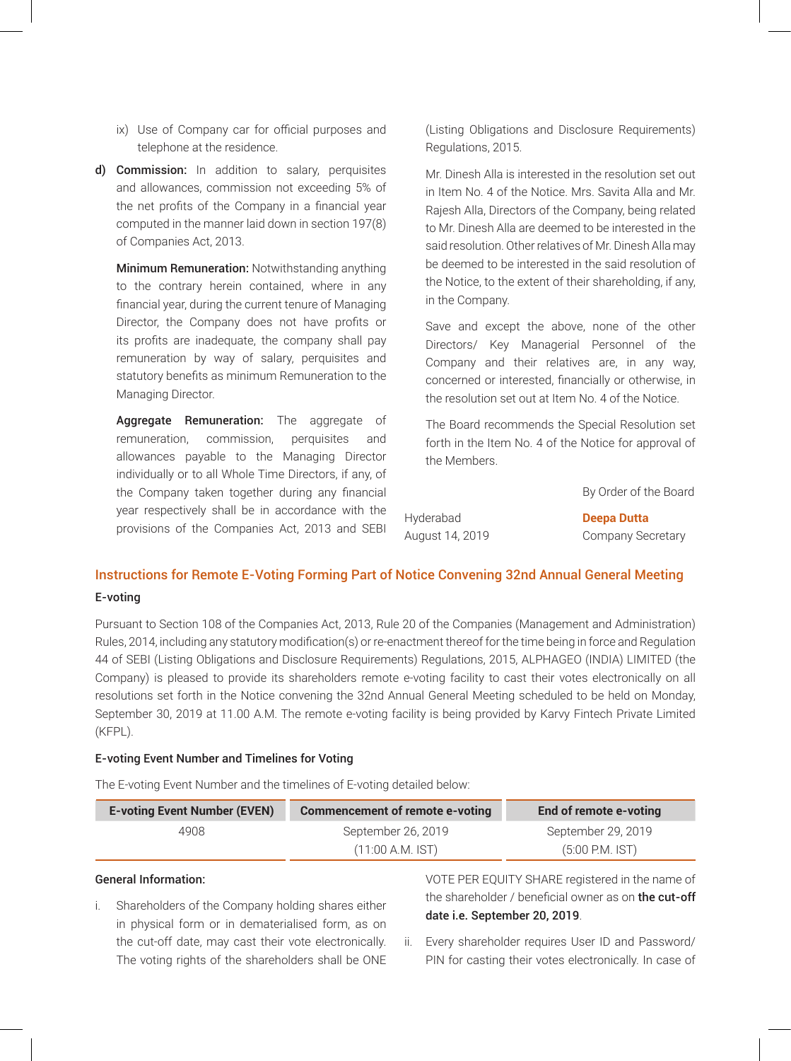- ix) Use of Company car for official purposes and telephone at the residence.
- d) Commission: In addition to salary, perquisites and allowances, commission not exceeding 5% of the net profits of the Company in a financial year computed in the manner laid down in section 197(8) of Companies Act, 2013.

Minimum Remuneration: Notwithstanding anything to the contrary herein contained, where in any financial year, during the current tenure of Managing Director, the Company does not have profits or its profits are inadequate, the company shall pay remuneration by way of salary, perquisites and statutory benefits as minimum Remuneration to the Managing Director.

Aggregate Remuneration: The aggregate of remuneration, commission, perquisites and allowances payable to the Managing Director individually or to all Whole Time Directors, if any, of the Company taken together during any financial year respectively shall be in accordance with the provisions of the Companies Act, 2013 and SEBI (Listing Obligations and Disclosure Requirements) Regulations, 2015.

Mr. Dinesh Alla is interested in the resolution set out in Item No. 4 of the Notice. Mrs. Savita Alla and Mr. Rajesh Alla, Directors of the Company, being related to Mr. Dinesh Alla are deemed to be interested in the said resolution. Other relatives of Mr. Dinesh Alla may be deemed to be interested in the said resolution of the Notice, to the extent of their shareholding, if any, in the Company.

Save and except the above, none of the other Directors/ Key Managerial Personnel of the Company and their relatives are, in any way, concerned or interested, financially or otherwise, in the resolution set out at Item No. 4 of the Notice.

The Board recommends the Special Resolution set forth in the Item No. 4 of the Notice for approval of the Members.

Hyderabad **Deepa Dutta**

By Order of the Board

August 14, 2019 Company Secretary

# Instructions for Remote E-Voting Forming Part of Notice Convening 32nd Annual General Meeting

### E-voting

Pursuant to Section 108 of the Companies Act, 2013, Rule 20 of the Companies (Management and Administration) Rules, 2014, including any statutory modification(s) or re-enactment thereof for the time being in force and Regulation 44 of SEBI (Listing Obligations and Disclosure Requirements) Regulations, 2015, ALPHAGEO (INDIA) LIMITED (the Company) is pleased to provide its shareholders remote e-voting facility to cast their votes electronically on all resolutions set forth in the Notice convening the 32nd Annual General Meeting scheduled to be held on Monday, September 30, 2019 at 11.00 A.M. The remote e-voting facility is being provided by Karvy Fintech Private Limited (KFPL).

### E-voting Event Number and Timelines for Voting

The E-voting Event Number and the timelines of E-voting detailed below:

| <b>E-voting Event Number (EVEN)</b> | Commencement of remote e-voting | End of remote e-voting |
|-------------------------------------|---------------------------------|------------------------|
| 4908                                | September 26, 2019              | September 29, 2019     |
|                                     | $(11:00 A.M.$ IST)              | $(5:00$ P.M. IST)      |

### General Information:

i. Shareholders of the Company holding shares either in physical form or in dematerialised form, as on the cut-off date, may cast their vote electronically. The voting rights of the shareholders shall be ONE

VOTE PER EQUITY SHARE registered in the name of the shareholder / beneficial owner as on the cut-off date i.e. September 20, 2019.

ii. Every shareholder requires User ID and Password/ PIN for casting their votes electronically. In case of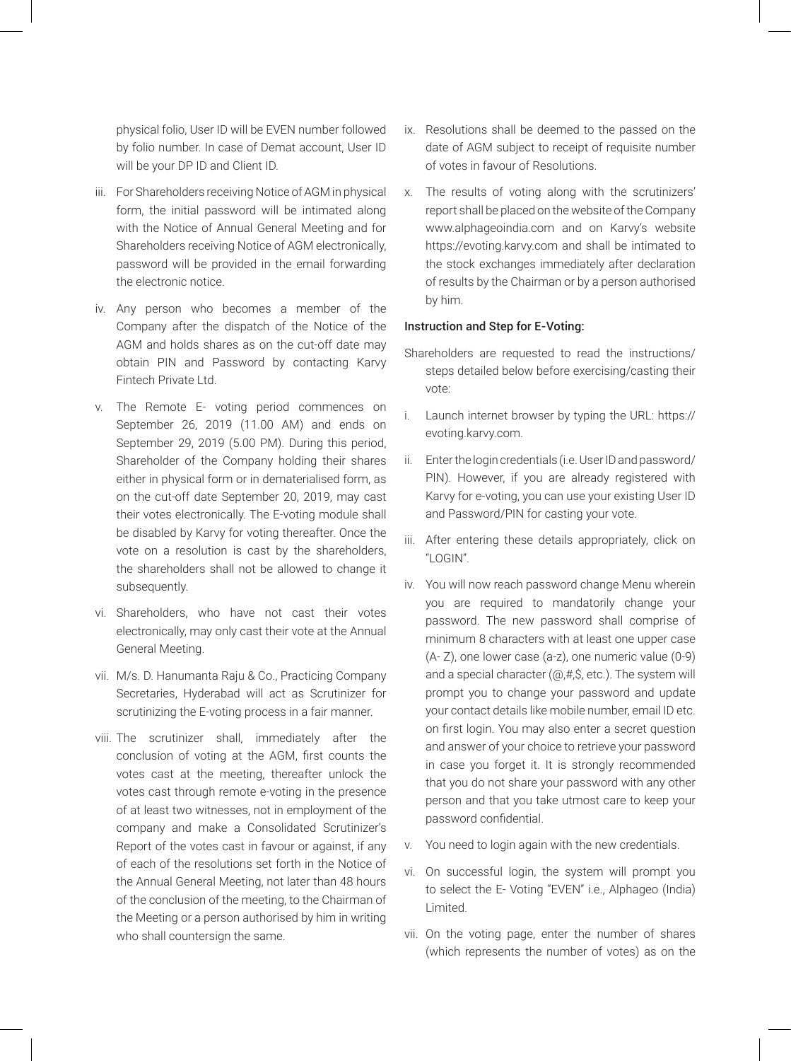physical folio, User ID will be EVEN number followed by folio number. In case of Demat account, User ID will be your DP ID and Client ID.

- iii. For Shareholders receiving Notice of AGM in physical form, the initial password will be intimated along with the Notice of Annual General Meeting and for Shareholders receiving Notice of AGM electronically, password will be provided in the email forwarding the electronic notice.
- iv. Any person who becomes a member of the Company after the dispatch of the Notice of the AGM and holds shares as on the cut-off date may obtain PIN and Password by contacting Karvy Fintech Private Ltd.
- v. The Remote E- voting period commences on September 26, 2019 (11.00 AM) and ends on September 29, 2019 (5.00 PM). During this period, Shareholder of the Company holding their shares either in physical form or in dematerialised form, as on the cut-off date September 20, 2019, may cast their votes electronically. The E-voting module shall be disabled by Karvy for voting thereafter. Once the vote on a resolution is cast by the shareholders, the shareholders shall not be allowed to change it subsequently.
- vi. Shareholders, who have not cast their votes electronically, may only cast their vote at the Annual General Meeting.
- vii. M/s. D. Hanumanta Raju & Co., Practicing Company Secretaries, Hyderabad will act as Scrutinizer for scrutinizing the E-voting process in a fair manner.
- viii. The scrutinizer shall, immediately after the conclusion of voting at the AGM, first counts the votes cast at the meeting, thereafter unlock the votes cast through remote e-voting in the presence of at least two witnesses, not in employment of the company and make a Consolidated Scrutinizer's Report of the votes cast in favour or against, if any of each of the resolutions set forth in the Notice of the Annual General Meeting, not later than 48 hours of the conclusion of the meeting, to the Chairman of the Meeting or a person authorised by him in writing who shall countersign the same.
- ix. Resolutions shall be deemed to the passed on the date of AGM subject to receipt of requisite number of votes in favour of Resolutions.
- x. The results of voting along with the scrutinizers' report shall be placed on the website of the Company www.alphageoindia.com and on Karvy's website https://evoting.karvy.com and shall be intimated to the stock exchanges immediately after declaration of results by the Chairman or by a person authorised by him.

### Instruction and Step for E-Voting:

- Shareholders are requested to read the instructions/ steps detailed below before exercising/casting their vote:
- i. Launch internet browser by typing the URL: https:// evoting.karvy.com.
- ii. Enter the login credentials (i.e. User ID and password/ PIN). However, if you are already registered with Karvy for e-voting, you can use your existing User ID and Password/PIN for casting your vote.
- iii. After entering these details appropriately, click on "LOGIN".
- iv. You will now reach password change Menu wherein you are required to mandatorily change your password. The new password shall comprise of minimum 8 characters with at least one upper case (A- Z), one lower case (a-z), one numeric value (0-9) and a special character (@,#,\$, etc.). The system will prompt you to change your password and update your contact details like mobile number, email ID etc. on first login. You may also enter a secret question and answer of your choice to retrieve your password in case you forget it. It is strongly recommended that you do not share your password with any other person and that you take utmost care to keep your password confidential.
- v. You need to login again with the new credentials.
- vi. On successful login, the system will prompt you to select the E- Voting "EVEN" i.e., Alphageo (India) Limited.
- vii. On the voting page, enter the number of shares (which represents the number of votes) as on the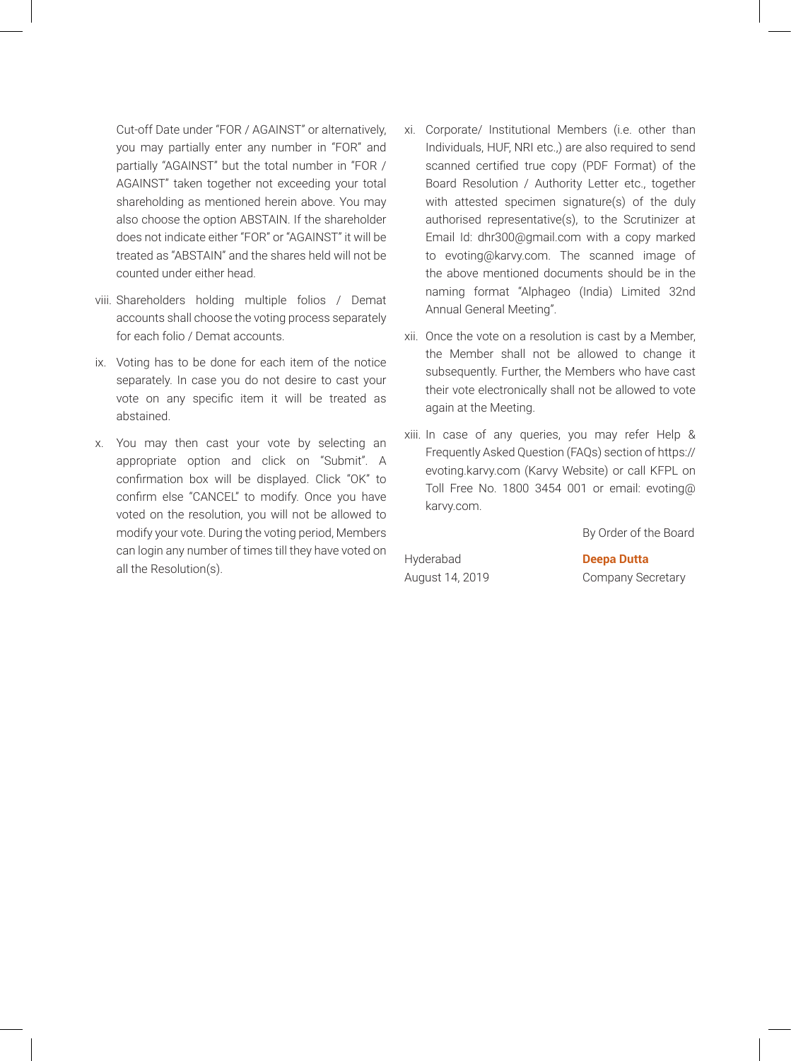Cut-off Date under "FOR / AGAINST" or alternatively, you may partially enter any number in "FOR" and partially "AGAINST" but the total number in "FOR / AGAINST" taken together not exceeding your total shareholding as mentioned herein above. You may also choose the option ABSTAIN. If the shareholder does not indicate either "FOR" or "AGAINST" it will be treated as "ABSTAIN" and the shares held will not be counted under either head.

- viii. Shareholders holding multiple folios / Demat accounts shall choose the voting process separately for each folio / Demat accounts.
- ix. Voting has to be done for each item of the notice separately. In case you do not desire to cast your vote on any specific item it will be treated as abstained.
- x. You may then cast your vote by selecting an appropriate option and click on "Submit". A confirmation box will be displayed. Click "OK" to confirm else "CANCEL" to modify. Once you have voted on the resolution, you will not be allowed to modify your vote. During the voting period, Members can login any number of times till they have voted on all the Resolution(s).
- xi. Corporate/ Institutional Members (i.e. other than Individuals, HUF, NRI etc.,) are also required to send scanned certified true copy (PDF Format) of the Board Resolution / Authority Letter etc., together with attested specimen signature(s) of the duly authorised representative(s), to the Scrutinizer at Email Id: dhr300@gmail.com with a copy marked to evoting@karvy.com. The scanned image of the above mentioned documents should be in the naming format "Alphageo (India) Limited 32nd Annual General Meeting".
- xii. Once the vote on a resolution is cast by a Member, the Member shall not be allowed to change it subsequently. Further, the Members who have cast their vote electronically shall not be allowed to vote again at the Meeting.
- xiii. In case of any queries, you may refer Help & Frequently Asked Question (FAQs) section of https:// evoting.karvy.com (Karvy Website) or call KFPL on Toll Free No. 1800 3454 001 or email: evoting@ karvy.com.

By Order of the Board

Hyderabad **Deepa Dutta** August 14, 2019 Company Secretary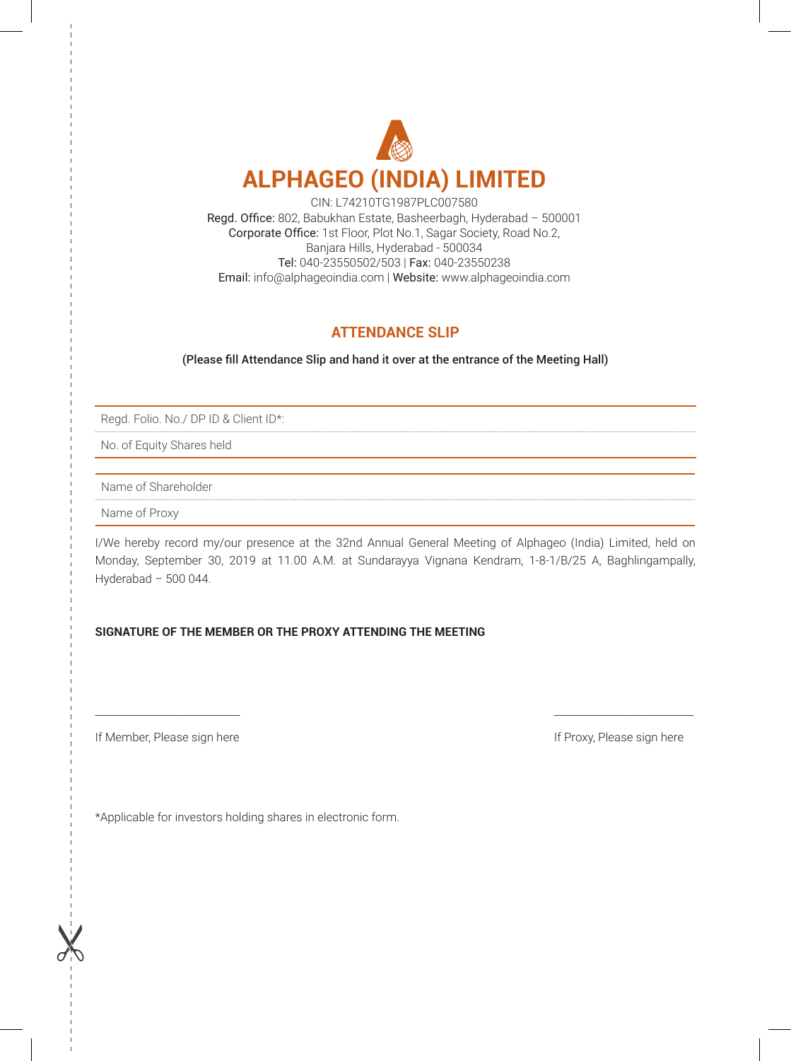

CIN: L74210TG1987PLC007580 Regd. Office: 802, Babukhan Estate, Basheerbagh, Hyderabad – 500001 Corporate Office: 1st Floor, Plot No.1, Sagar Society, Road No.2, Banjara Hills, Hyderabad - 500034 Tel: 040-23550502/503 | Fax: 040-23550238 Email: info@alphageoindia.com | Website: www.alphageoindia.com

## **ATTENDANCE SLIP**

(Please fill Attendance Slip and hand it over at the entrance of the Meeting Hall)

Regd. Folio. No./ DP ID & Client ID\*:

No. of Equity Shares held

Name of Shareholder

Name of Proxy

I/We hereby record my/our presence at the 32nd Annual General Meeting of Alphageo (India) Limited, held on Monday, September 30, 2019 at 11.00 A.M. at Sundarayya Vignana Kendram, 1-8-1/B/25 A, Baghlingampally, Hyderabad – 500 044.

\_\_\_\_\_\_\_\_\_\_\_\_\_\_\_\_\_\_\_\_\_\_\_\_\_\_\_\_ \_\_\_\_\_\_\_\_\_\_\_\_\_\_\_\_\_\_\_\_\_\_\_\_\_\_\_

### **SIGNATURE OF THE MEMBER OR THE PROXY ATTENDING THE MEETING**

If Member, Please sign here If Proxy, Please sign here If Proxy, Please sign here

\*Applicable for investors holding shares in electronic form.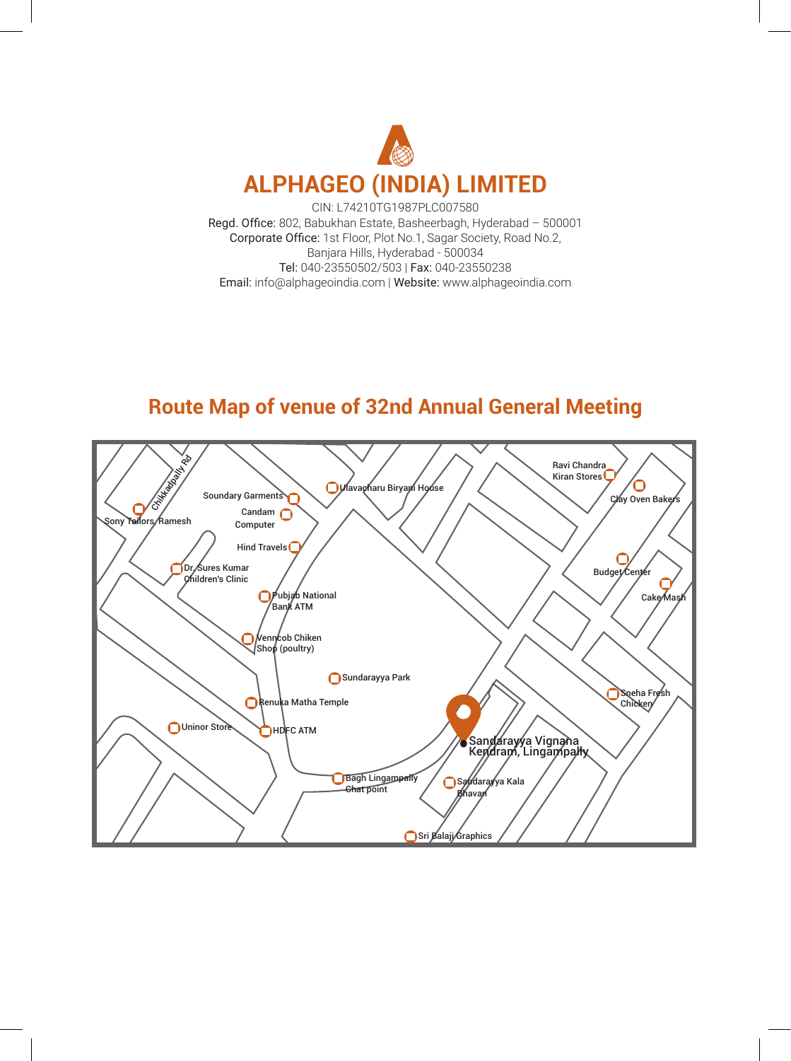

CIN: L74210TG1987PLC007580 Regd. Office: 802, Babukhan Estate, Basheerbagh, Hyderabad – 500001 Corporate Office: 1st Floor, Plot No.1, Sagar Society, Road No.2, Banjara Hills, Hyderabad - 500034 Tel: 040-23550502/503 | Fax: 040-23550238 Email: info@alphageoindia.com | Website: www.alphageoindia.com

# **Route Map of venue of 32nd Annual General Meeting**

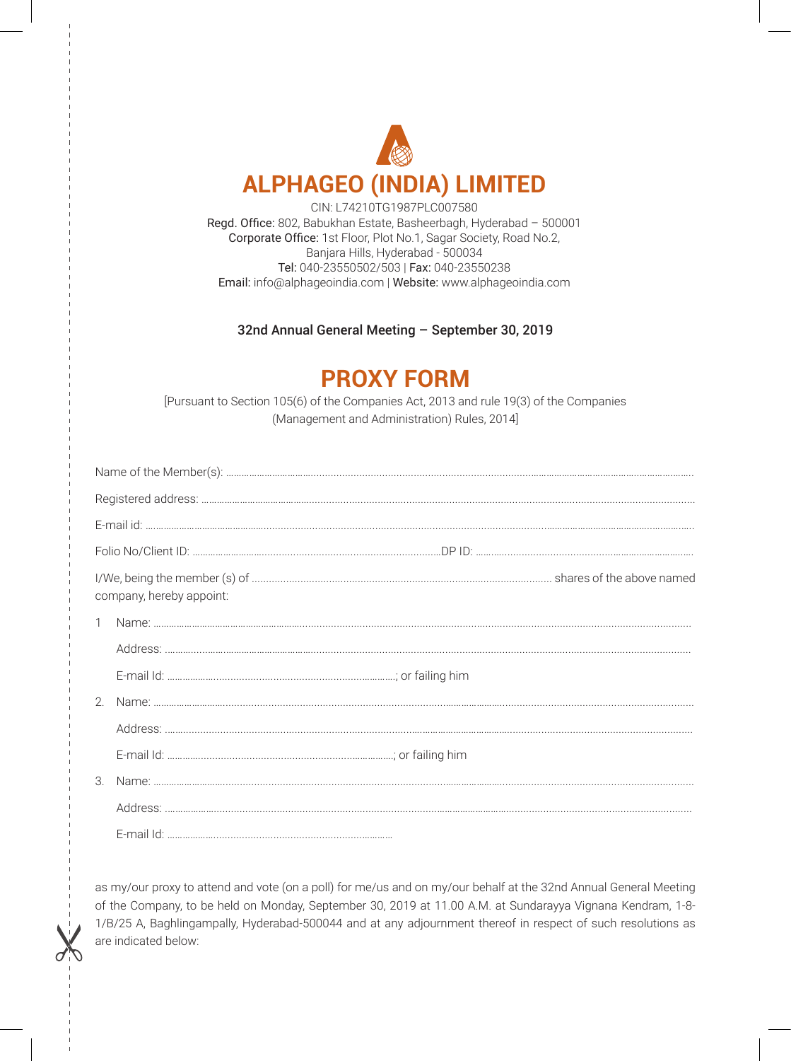

CIN: L74210TG1987PLC007580 Regd. Office: 802, Babukhan Estate, Basheerbagh, Hyderabad – 500001 Corporate Office: 1st Floor, Plot No.1, Sagar Society, Road No.2, Banjara Hills, Hyderabad - 500034 Tel: 040-23550502/503 | Fax: 040-23550238 Email: info@alphageoindia.com | Website: www.alphageoindia.com

32nd Annual General Meeting – September 30, 2019

# **PROXY FORM**

[Pursuant to Section 105(6) of the Companies Act, 2013 and rule 19(3) of the Companies (Management and Administration) Rules, 2014]

| company, hereby appoint: |  |  |  |  |  |
|--------------------------|--|--|--|--|--|
| $\mathbf{1}$             |  |  |  |  |  |
|                          |  |  |  |  |  |
|                          |  |  |  |  |  |
|                          |  |  |  |  |  |
|                          |  |  |  |  |  |
|                          |  |  |  |  |  |
| $\mathcal{S}$            |  |  |  |  |  |
|                          |  |  |  |  |  |
|                          |  |  |  |  |  |

as my/our proxy to attend and vote (on a poll) for me/us and on my/our behalf at the 32nd Annual General Meeting of the Company, to be held on Monday, September 30, 2019 at 11.00 A.M. at Sundarayya Vignana Kendram, 1-8- 1/B/25 A, Baghlingampally, Hyderabad-500044 and at any adjournment thereof in respect of such resolutions as are indicated below: